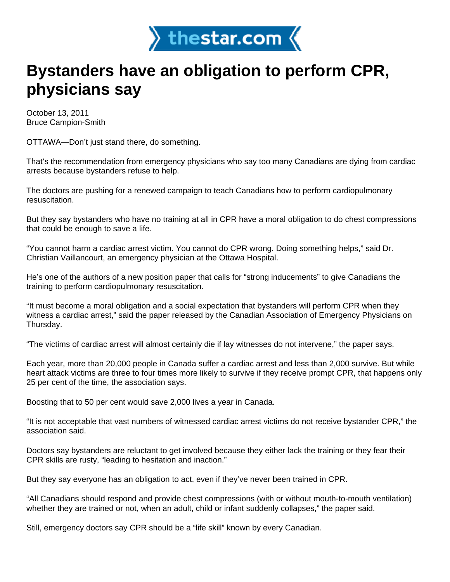

## **Bystanders have an obligation to perform CPR, physicians say**

October 13, 2011 Bruce Campion-Smith

OTTAWA—Don't just stand there, do something.

That's the recommendation from emergency physicians who say too many Canadians are dying from cardiac arrests because bystanders refuse to help.

The doctors are pushing for a renewed campaign to teach Canadians how to perform cardiopulmonary resuscitation.

But they say bystanders who have no training at all in CPR have a moral obligation to do chest compressions that could be enough to save a life.

"You cannot harm a cardiac arrest victim. You cannot do CPR wrong. Doing something helps," said Dr. Christian Vaillancourt, an emergency physician at the Ottawa Hospital.

He's one of the authors of a new position paper that calls for "strong inducements" to give Canadians the training to perform cardiopulmonary resuscitation.

"It must become a moral obligation and a social expectation that bystanders will perform CPR when they witness a cardiac arrest," said the paper released by the Canadian Association of Emergency Physicians on Thursday.

"The victims of cardiac arrest will almost certainly die if lay witnesses do not intervene," the paper says.

Each year, more than 20,000 people in Canada suffer a cardiac arrest and less than 2,000 survive. But while heart attack victims are three to four times more likely to survive if they receive prompt CPR, that happens only 25 per cent of the time, the association says.

Boosting that to 50 per cent would save 2,000 lives a year in Canada.

"It is not acceptable that vast numbers of witnessed cardiac arrest victims do not receive bystander CPR," the association said.

Doctors say bystanders are reluctant to get involved because they either lack the training or they fear their CPR skills are rusty, "leading to hesitation and inaction."

But they say everyone has an obligation to act, even if they've never been trained in CPR.

"All Canadians should respond and provide chest compressions (with or without mouth-to-mouth ventilation) whether they are trained or not, when an adult, child or infant suddenly collapses," the paper said.

Still, emergency doctors say CPR should be a "life skill" known by every Canadian.